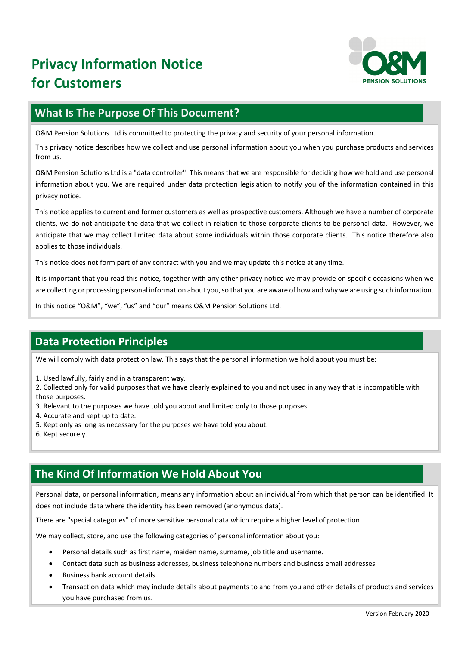

## **What Is The Purpose Of This Document?**

O&M Pension Solutions Ltd is committed to protecting the privacy and security of your personal information.

This privacy notice describes how we collect and use personal information about you when you purchase products and services from us.

O&M Pension Solutions Ltd is a "data controller". This means that we are responsible for deciding how we hold and use personal information about you. We are required under data protection legislation to notify you of the information contained in this privacy notice.

This notice applies to current and former customers as well as prospective customers. Although we have a number of corporate clients, we do not anticipate the data that we collect in relation to those corporate clients to be personal data. However, we anticipate that we may collect limited data about some individuals within those corporate clients. This notice therefore also applies to those individuals.

This notice does not form part of any contract with you and we may update this notice at any time.

It is important that you read this notice, together with any other privacy notice we may provide on specific occasions when we are collecting or processing personal information about you, so that you are aware of how and why we are using such information.

In this notice "O&M", "we", "us" and "our" means O&M Pension Solutions Ltd.

## **Data Protection Principles**

We will comply with data protection law. This says that the personal information we hold about you must be:

1. Used lawfully, fairly and in a transparent way.

2. Collected only for valid purposes that we have clearly explained to you and not used in any way that is incompatible with those purposes.

- 3. Relevant to the purposes we have told you about and limited only to those purposes.
- 4. Accurate and kept up to date.
- 5. Kept only as long as necessary for the purposes we have told you about.
- 6. Kept securely.

## **The Kind Of Information We Hold About You**

Personal data, or personal information, means any information about an individual from which that person can be identified. It does not include data where the identity has been removed (anonymous data).

There are "special categories" of more sensitive personal data which require a higher level of protection.

We may collect, store, and use the following categories of personal information about you:

- Personal details such as first name, maiden name, surname, job title and username.
- Contact data such as business addresses, business telephone numbers and business email addresses
- Business bank account details.
- Transaction data which may include details about payments to and from you and other details of products and services you have purchased from us.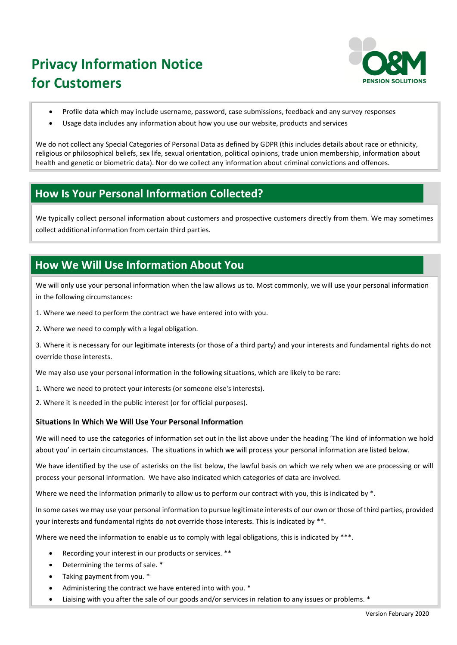

- Profile data which may include username, password, case submissions, feedback and any survey responses
- Usage data includes any information about how you use our website, products and services

We do not collect any Special Categories of Personal Data as defined by GDPR (this includes details about race or ethnicity, religious or philosophical beliefs, sex life, sexual orientation, political opinions, trade union membership, information about health and genetic or biometric data). Nor do we collect any information about criminal convictions and offences.

## **How Is Your Personal Information Collected?**

We typically collect personal information about customers and prospective customers directly from them. We may sometimes collect additional information from certain third parties.

## **How We Will Use Information About You**

We will only use your personal information when the law allows us to. Most commonly, we will use your personal information in the following circumstances:

- 1. Where we need to perform the contract we have entered into with you.
- 2. Where we need to comply with a legal obligation.

3. Where it is necessary for our legitimate interests (or those of a third party) and your interests and fundamental rights do not override those interests.

We may also use your personal information in the following situations, which are likely to be rare:

- 1. Where we need to protect your interests (or someone else's interests).
- 2. Where it is needed in the public interest (or for official purposes).

### **Situations In Which We Will Use Your Personal Information**

We will need to use the categories of information set out in the list above under the heading 'The kind of information we hold about you' in certain circumstances. The situations in which we will process your personal information are listed below.

We have identified by the use of asterisks on the list below, the lawful basis on which we rely when we are processing or will process your personal information. We have also indicated which categories of data are involved.

Where we need the information primarily to allow us to perform our contract with you, this is indicated by  $*$ .

In some cases we may use your personal information to pursue legitimate interests of our own or those of third parties, provided your interests and fundamental rights do not override those interests. This is indicated by \*\*.

Where we need the information to enable us to comply with legal obligations, this is indicated by \*\*\*.

- Recording your interest in our products or services. \*\*
- Determining the terms of sale. \*
- Taking payment from you. \*
- Administering the contract we have entered into with you. \*
- Liaising with you after the sale of our goods and/or services in relation to any issues or problems. \*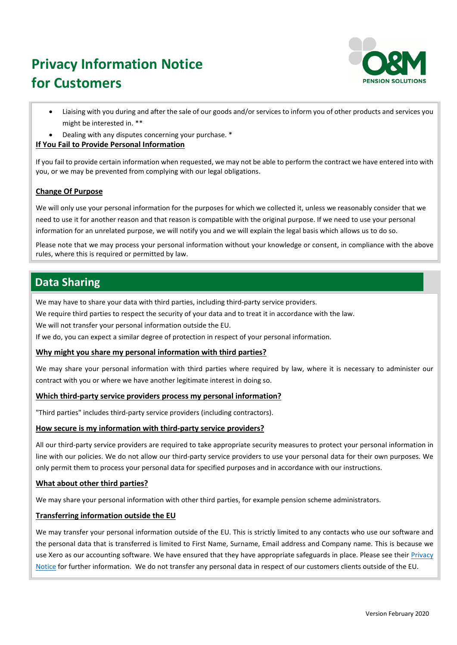

- Liaising with you during and after the sale of our goods and/or services to inform you of other products and services you might be interested in. \*\*
- Dealing with any disputes concerning your purchase. \*

### **If You Fail to Provide Personal Information**

If you fail to provide certain information when requested, we may not be able to perform the contract we have entered into with you, or we may be prevented from complying with our legal obligations.

### **Change Of Purpose**

We will only use your personal information for the purposes for which we collected it, unless we reasonably consider that we need to use it for another reason and that reason is compatible with the original purpose. If we need to use your personal information for an unrelated purpose, we will notify you and we will explain the legal basis which allows us to do so.

Please note that we may process your personal information without your knowledge or consent, in compliance with the above rules, where this is required or permitted by law.

## **Data Sharing**

We may have to share your data with third parties, including third-party service providers.

We require third parties to respect the security of your data and to treat it in accordance with the law.

We will not transfer your personal information outside the EU.

If we do, you can expect a similar degree of protection in respect of your personal information.

### **Why might you share my personal information with third parties?**

We may share your personal information with third parties where required by law, where it is necessary to administer our contract with you or where we have another legitimate interest in doing so.

### **Which third-party service providers process my personal information?**

"Third parties" includes third-party service providers (including contractors).

### **How secure is my information with third-party service providers?**

All our third-party service providers are required to take appropriate security measures to protect your personal information in line with our policies. We do not allow our third-party service providers to use your personal data for their own purposes. We only permit them to process your personal data for specified purposes and in accordance with our instructions.

### **What about other third parties?**

We may share your personal information with other third parties, for example pension scheme administrators.

### **Transferring information outside the EU**

We may transfer your personal information outside of the EU. This is strictly limited to any contacts who use our software and the personal data that is transferred is limited to First Name, Surname, Email address and Company name. This is because we use Xero as our accounting software. We have ensured that they have appropriate safeguards in place. Please see their Privacy [Notice](https://www.xero.com/uk/about/legal/privacy/) for further information. We do not transfer any personal data in respect of our customers clients outside of the EU.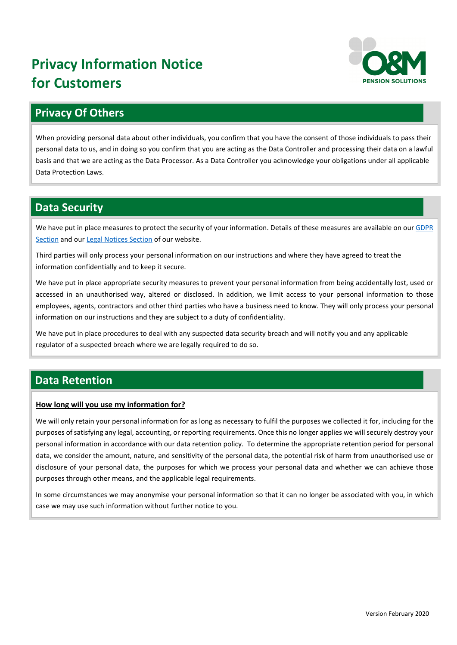

## **Privacy Of Others**

When providing personal data about other individuals, you confirm that you have the consent of those individuals to pass their personal data to us, and in doing so you confirm that you are acting as the Data Controller and processing their data on a lawful basis and that we are acting as the Data Processor. As a Data Controller you acknowledge your obligations under all applicable Data Protection Laws.

## **Data Security**

We have put in place measures to protect the security of your information. Details of these measures are available on our GDPR [Section](https://www.ompensions.co.uk/gdpr-compliance/) and our [Legal Notices](https://www.ompensions.co.uk/legal-notices.aspx) Section of our website.

Third parties will only process your personal information on our instructions and where they have agreed to treat the information confidentially and to keep it secure.

We have put in place appropriate security measures to prevent your personal information from being accidentally lost, used or accessed in an unauthorised way, altered or disclosed. In addition, we limit access to your personal information to those employees, agents, contractors and other third parties who have a business need to know. They will only process your personal information on our instructions and they are subject to a duty of confidentiality.

We have put in place procedures to deal with any suspected data security breach and will notify you and any applicable regulator of a suspected breach where we are legally required to do so.

## **Data Retention**

## **How long will you use my information for?**

We will only retain your personal information for as long as necessary to fulfil the purposes we collected it for, including for the purposes of satisfying any legal, accounting, or reporting requirements. Once this no longer applies we will securely destroy your personal information in accordance with our data retention policy. To determine the appropriate retention period for personal data, we consider the amount, nature, and sensitivity of the personal data, the potential risk of harm from unauthorised use or disclosure of your personal data, the purposes for which we process your personal data and whether we can achieve those purposes through other means, and the applicable legal requirements.

In some circumstances we may anonymise your personal information so that it can no longer be associated with you, in which case we may use such information without further notice to you.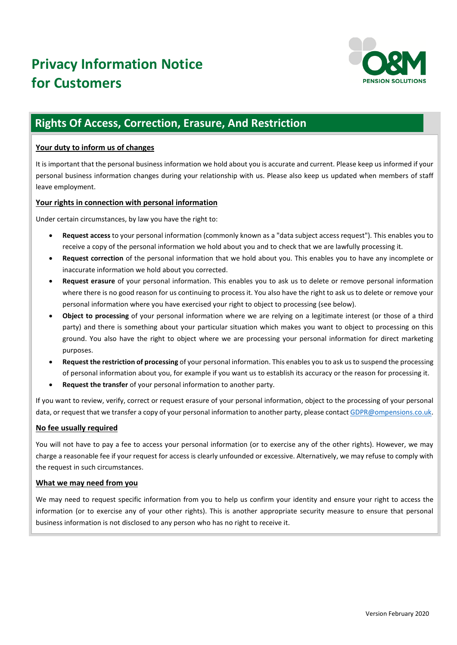

## **Rights Of Access, Correction, Erasure, And Restriction**

### **Your duty to inform us of changes**

It is important that the personal business information we hold about you is accurate and current. Please keep us informed if your personal business information changes during your relationship with us. Please also keep us updated when members of staff leave employment.

### **Your rights in connection with personal information**

Under certain circumstances, by law you have the right to:

- **Request access** to your personal information (commonly known as a "data subject access request"). This enables you to receive a copy of the personal information we hold about you and to check that we are lawfully processing it.
- **Request correction** of the personal information that we hold about you. This enables you to have any incomplete or inaccurate information we hold about you corrected.
- **Request erasure** of your personal information. This enables you to ask us to delete or remove personal information where there is no good reason for us continuing to process it. You also have the right to ask us to delete or remove your personal information where you have exercised your right to object to processing (see below).
- **Object to processing** of your personal information where we are relying on a legitimate interest (or those of a third party) and there is something about your particular situation which makes you want to object to processing on this ground. You also have the right to object where we are processing your personal information for direct marketing purposes.
- **Request the restriction of processing** of your personal information. This enables you to ask us to suspend the processing of personal information about you, for example if you want us to establish its accuracy or the reason for processing it.
- **Request the transfer** of your personal information to another party.

If you want to review, verify, correct or request erasure of your personal information, object to the processing of your personal data, or request that we transfer a copy of your personal information to another party, please contac[t GDPR@ompensions.co.uk.](mailto:GDPR@ompensions.co.uk)

## **No fee usually required**

You will not have to pay a fee to access your personal information (or to exercise any of the other rights). However, we may charge a reasonable fee if your request for access is clearly unfounded or excessive. Alternatively, we may refuse to comply with the request in such circumstances.

### **What we may need from you**

We may need to request specific information from you to help us confirm your identity and ensure your right to access the information (or to exercise any of your other rights). This is another appropriate security measure to ensure that personal business information is not disclosed to any person who has no right to receive it.